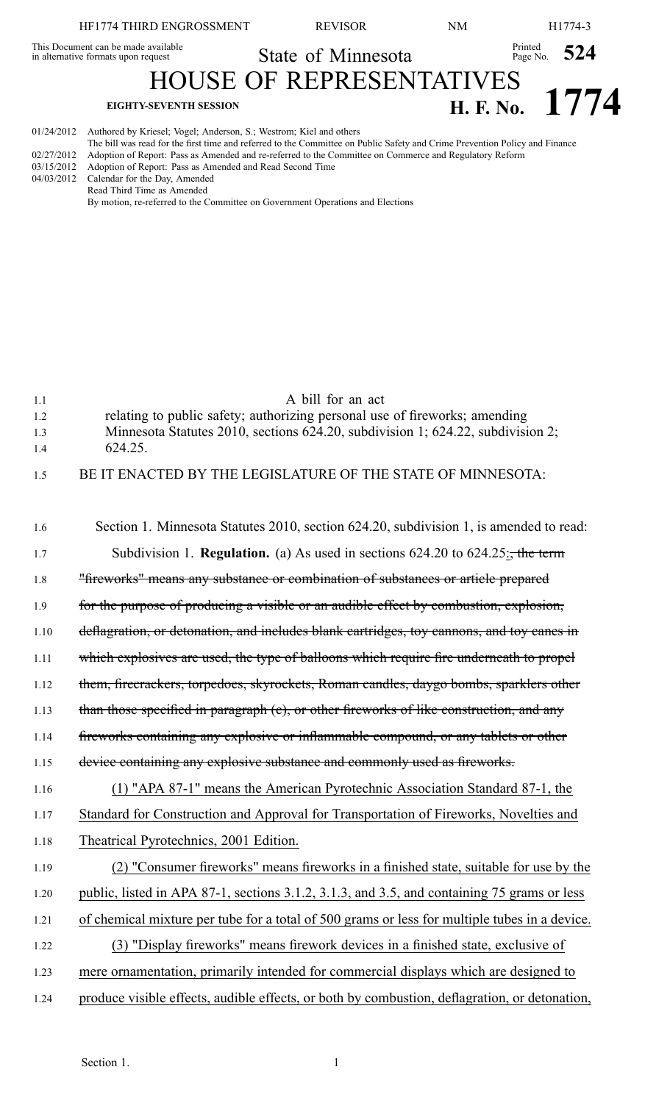## HF1774 THIRD ENGROSSMENT REVISOR NM H1774-3 This Document can be made available<br>in alternative formats upon request State of Minnesota HOUSE OF REPRESENTATIVES Printed Page No. **524 EIGHTY-SEVENTH SESSION H. F. No. 1774** 01/24/2012 Authored by Kriesel; Vogel; Anderson, S.; Westrom; Kiel and others

The bill was read for the first time and referred to the Committee on Public Safety and Crime Prevention Policy and Finance 02/27/2012 Adoption of Report: Pass as Amended and re-referred to the Committee on Commerce and Regulatory Reform<br>03/15/2012 Adoption of Report: Pass as Amended and Read Second Time

Adoption of Report: Pass as Amended and Read Second Time

04/03/2012 Calendar for the Day, Amended Read Third Time as Amended

By motion, re-referred to the Committee on Government Operations and Elections

| 1.1<br>1.2 | A bill for an act<br>relating to public safety; authorizing personal use of fireworks; amending |
|------------|-------------------------------------------------------------------------------------------------|
| 1.3<br>1.4 | Minnesota Statutes 2010, sections 624.20, subdivision 1; 624.22, subdivision 2;<br>624.25.      |
| 1.5        | BE IT ENACTED BY THE LEGISLATURE OF THE STATE OF MINNESOTA:                                     |
|            |                                                                                                 |
| 1.6        | Section 1. Minnesota Statutes 2010, section 624.20, subdivision 1, is amended to read:          |
| 1.7        | Subdivision 1. <b>Regulation.</b> (a) As used in sections $624.20$ to $624.25$ ; the term       |
| 1.8        | "fireworks" means any substance or combination of substances or article prepared                |
| 1.9        | for the purpose of producing a visible or an audible effect by combustion, explosion,           |
| 1.10       | deflagration, or detonation, and includes blank cartridges, toy cannons, and toy canes in       |
| 1.11       | which explosives are used, the type of balloons which require fire underneath to propel         |
| 1.12       | them, firecrackers, torpedoes, skyrockets, Roman candles, daygo bombs, sparklers other          |
| 1.13       | than those specified in paragraph (c), or other fireworks of like construction, and any         |
| 1.14       | fireworks containing any explosive or inflammable compound, or any tablets or other             |
| 1.15       | device containing any explosive substance and commonly used as fireworks.                       |
| 1.16       | (1) "APA 87-1" means the American Pyrotechnic Association Standard 87-1, the                    |
| 1.17       | Standard for Construction and Approval for Transportation of Fireworks, Novelties and           |
| 1.18       | Theatrical Pyrotechnics, 2001 Edition.                                                          |
| 1.19       | (2) "Consumer fireworks" means fireworks in a finished state, suitable for use by the           |
| 1.20       | public, listed in APA 87-1, sections 3.1.2, 3.1.3, and 3.5, and containing 75 grams or less     |
| 1.21       | of chemical mixture per tube for a total of 500 grams or less for multiple tubes in a device.   |
| 1.22       | (3) "Display fireworks" means firework devices in a finished state, exclusive of                |
| 1.23       | mere ornamentation, primarily intended for commercial displays which are designed to            |
| 1.24       | produce visible effects, audible effects, or both by combustion, deflagration, or detonation,   |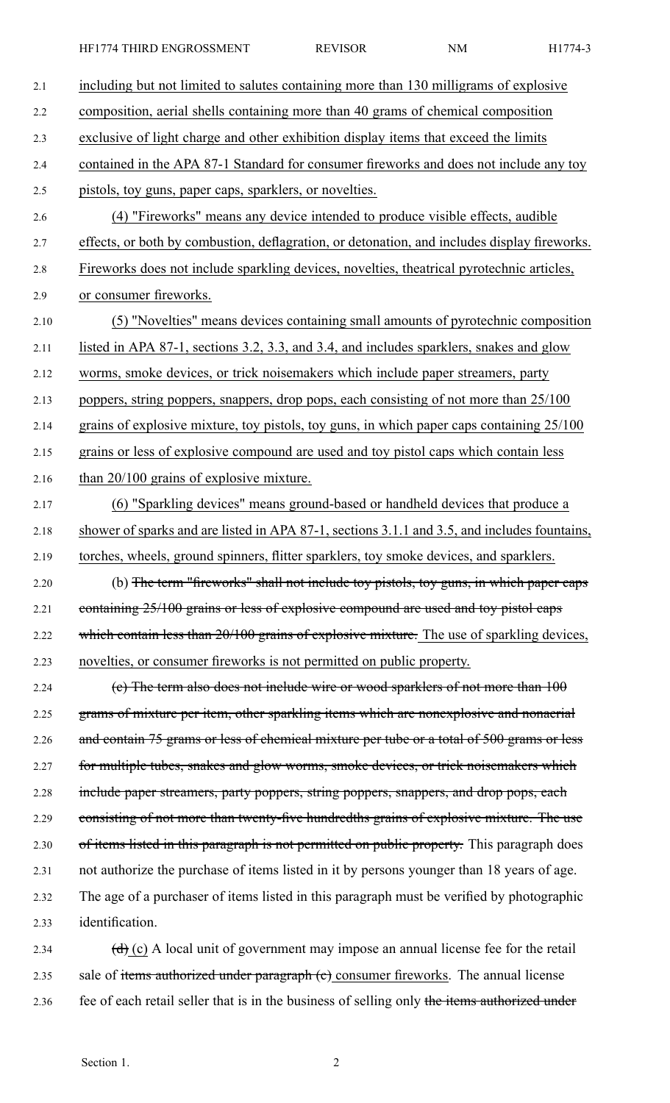HF1774 THIRD ENGROSSMENT REVISOR NM H1774-3

| 2.1  | including but not limited to salutes containing more than 130 milligrams of explosive                     |
|------|-----------------------------------------------------------------------------------------------------------|
| 2.2  | composition, aerial shells containing more than 40 grams of chemical composition                          |
| 2.3  | exclusive of light charge and other exhibition display items that exceed the limits                       |
| 2.4  | contained in the APA 87-1 Standard for consumer fireworks and does not include any toy                    |
| 2.5  | pistols, toy guns, paper caps, sparklers, or novelties.                                                   |
| 2.6  | (4) "Fireworks" means any device intended to produce visible effects, audible                             |
| 2.7  | effects, or both by combustion, deflagration, or detonation, and includes display fireworks.              |
| 2.8  | Fireworks does not include sparkling devices, novelties, theatrical pyrotechnic articles,                 |
| 2.9  | or consumer fireworks.                                                                                    |
| 2.10 | (5) "Novelties" means devices containing small amounts of pyrotechnic composition                         |
| 2.11 | listed in APA 87-1, sections 3.2, 3.3, and 3.4, and includes sparklers, snakes and glow                   |
| 2.12 | worms, smoke devices, or trick noisemakers which include paper streamers, party                           |
| 2.13 | poppers, string poppers, snappers, drop pops, each consisting of not more than 25/100                     |
| 2.14 | grains of explosive mixture, toy pistols, toy guns, in which paper caps containing 25/100                 |
| 2.15 | grains or less of explosive compound are used and toy pistol caps which contain less                      |
| 2.16 | than 20/100 grains of explosive mixture.                                                                  |
| 2.17 | (6) "Sparkling devices" means ground-based or handheld devices that produce a                             |
| 2.18 | shower of sparks and are listed in APA 87-1, sections 3.1.1 and 3.5, and includes fountains,              |
| 2.19 | torches, wheels, ground spinners, flitter sparklers, toy smoke devices, and sparklers.                    |
| 2.20 | (b) The term "fireworks" shall not include toy pistols, toy guns, in which paper caps                     |
| 2.21 | containing 25/100 grains or less of explosive compound are used and toy pistol caps                       |
| 2.22 | which contain less than 20/100 grains of explosive mixture. The use of sparkling devices,                 |
| 2.23 | novelties, or consumer fireworks is not permitted on public property.                                     |
| 2.24 | (e) The term also does not include wire or wood sparklers of not more than 100                            |
| 2.25 | grams of mixture per item, other sparkling items which are nonexplosive and nonaerial                     |
| 2.26 | and contain 75 grams or less of chemical mixture per tube or a total of 500 grams or less                 |
| 2.27 | for multiple tubes, snakes and glow worms, smoke devices, or trick noisemakers which                      |
| 2.28 | include paper streamers, party poppers, string poppers, snappers, and drop pops, each                     |
| 2.29 | consisting of not more than twenty-five hundredths grains of explosive mixture. The use                   |
| 2.30 | of items listed in this paragraph is not permitted on public property. This paragraph does                |
| 2.31 | not authorize the purchase of items listed in it by persons younger than 18 years of age.                 |
| 2.32 | The age of a purchaser of items listed in this paragraph must be verified by photographic                 |
| 2.33 | identification.                                                                                           |
| 2.34 | $\left(\frac{d}{d}\right)$ (c) A local unit of government may impose an annual license fee for the retail |
| 2.35 | sale of items authorized under paragraph (e) consumer fireworks. The annual license                       |

2.36 fee of each retail seller that is in the business of selling only the items authorized under

Section 1. 2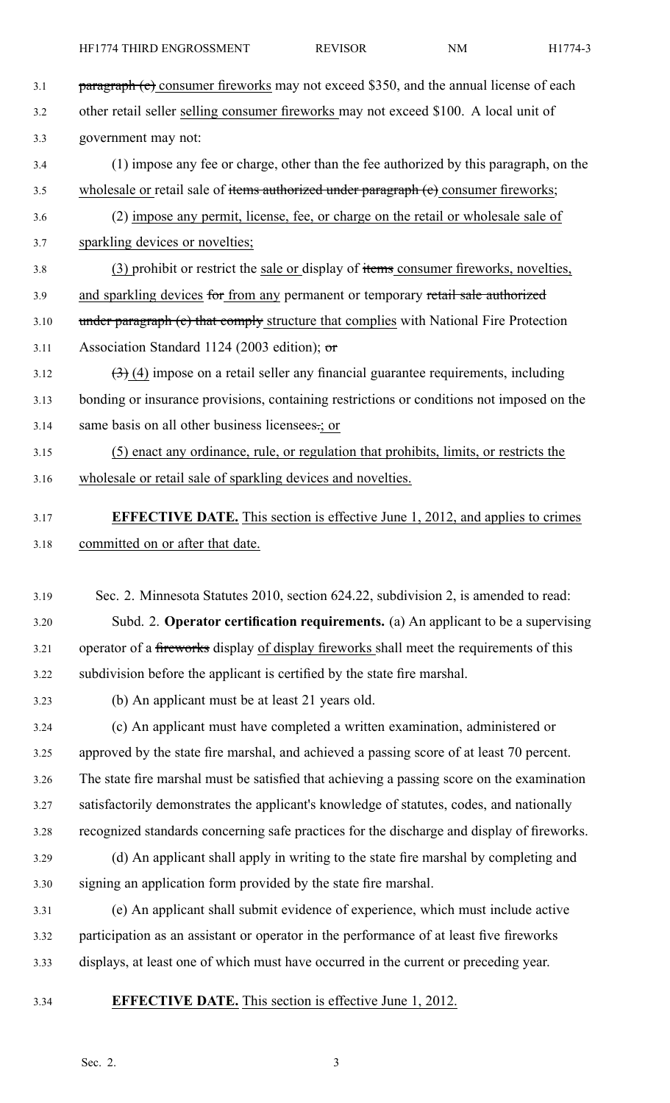- 3.1 **paragraph (c)** consumer fireworks may not exceed \$350, and the annual license of each 3.2 other retail seller selling consumer fireworks may not exceed \$100. A local unit of 3.3 government may not: 3.4 (1) impose any fee or charge, other than the fee authorized by this paragraph, on the 3.5 wholesale or retail sale of items authorized under paragraph (e) consumer fireworks; 3.6 (2) impose any permit, license, fee, or charge on the retail or wholesale sale of 3.7 sparkling devices or novelties; 3.8 (3) prohibit or restrict the sale or display of items consumer fireworks, novelties, 3.9 and sparkling devices for from any permanent or temporary retail sale authorized 3.10 under paragraph (c) that comply structure that complies with National Fire Protection 3.11 Association Standard 1124 (2003 edition);  $\sigma$  $3.12$   $(3)$  (4) impose on a retail seller any financial guarantee requirements, including 3.13 bonding or insurance provisions, containing restrictions or conditions not imposed on the 3.14 same basis on all other business licensees.; or 3.15 (5) enact any ordinance, rule, or regulation that prohibits, limits, or restricts the 3.16 wholesale or retail sale of sparkling devices and novelties. 3.17 **EFFECTIVE DATE.** This section is effective June 1, 2012, and applies to crimes 3.18 committed on or after that date. 3.19 Sec. 2. Minnesota Statutes 2010, section 624.22, subdivision 2, is amended to read: 3.20 Subd. 2. **Operator certification requirements.** (a) An applicant to be <sup>a</sup> supervising 3.21 operator of a fireworks display of display fireworks shall meet the requirements of this 3.22 subdivision before the applicant is certified by the state fire marshal. 3.23 (b) An applicant must be at least 21 years old. 3.24 (c) An applicant must have completed <sup>a</sup> written examination, administered or 3.25 approved by the state fire marshal, and achieved <sup>a</sup> passing score of at least 70 percent. 3.26 The state fire marshal must be satisfied that achieving <sup>a</sup> passing score on the examination 3.27 satisfactorily demonstrates the applicant's knowledge of statutes, codes, and nationally 3.28 recognized standards concerning safe practices for the discharge and display of fireworks. 3.29 (d) An applicant shall apply in writing to the state fire marshal by completing and 3.30 signing an application form provided by the state fire marshal.
- 3.31 (e) An applicant shall submit evidence of experience, which must include active 3.32 participation as an assistant or operator in the performance of at least five fireworks 3.33 displays, at least one of which must have occurred in the current or preceding year.
- 
- 3.34 **EFFECTIVE DATE.** This section is effective June 1, 2012.